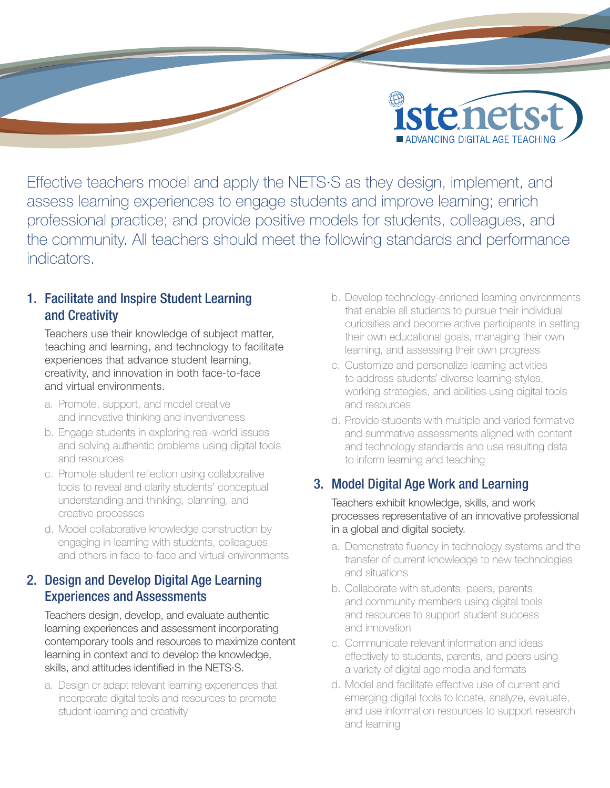

Effective teachers model and apply the NETS·S as they design, implement, and assess learning experiences to engage students and improve learning; enrich professional practice; and provide positive models for students, colleagues, and the community. All teachers should meet the following standards and performance indicators.

# 1. Facilitate and Inspire Student Learning and Creativity

Teachers use their knowledge of subject matter, teaching and learning, and technology to facilitate experiences that advance student learning, creativity, and innovation in both face-to-face and virtual environments.

- a. Promote, support, and model creative and innovative thinking and inventiveness
- b. Engage students in exploring real-world issues and solving authentic problems using digital tools and resources
- c. Promote student reflection using collaborative tools to reveal and clarify students' conceptual understanding and thinking, planning, and creative processes
- d. Model collaborative knowledge construction by engaging in learning with students, colleagues, and others in face-to-face and virtual environments

### 2. Design and Develop Digital Age Learning Experiences and Assessments

Teachers design, develop, and evaluate authentic learning experiences and assessment incorporating contemporary tools and resources to maximize content learning in context and to develop the knowledge, skills, and attitudes identified in the NETS·S.

a. Design or adapt relevant learning experiences that incorporate digital tools and resources to promote student learning and creativity

- b. Develop technology-enriched learning environments that enable all students to pursue their individual curiosities and become active participants in setting their own educational goals, managing their own learning, and assessing their own progress
- c. Customize and personalize learning activities to address students' diverse learning styles, working strategies, and abilities using digital tools and resources
- d. Provide students with multiple and varied formative and summative assessments aligned with content and technology standards and use resulting data to inform learning and teaching

# 3. Model Digital Age Work and Learning

Teachers exhibit knowledge, skills, and work processes representative of an innovative professional in a global and digital society.

- a. Demonstrate fluency in technology systems and the transfer of current knowledge to new technologies and situations
- b. Collaborate with students, peers, parents, and community members using digital tools and resources to support student success and innovation
- c. Communicate relevant information and ideas effectively to students, parents, and peers using a variety of digital age media and formats
- d. Model and facilitate effective use of current and emerging digital tools to locate, analyze, evaluate, and use information resources to support research and learning